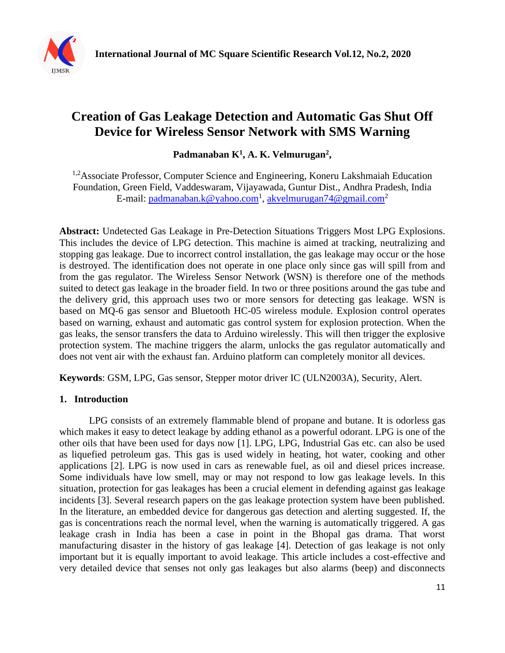

# **Creation of Gas Leakage Detection and Automatic Gas Shut Off Device for Wireless Sensor Network with SMS Warning**

Padmanaban K<sup>1</sup>, A. K. Velmurugan<sup>2</sup>,

<sup>1,2</sup>Associate Professor, Computer Science and Engineering, Koneru Lakshmaiah Education Foundation, Green Field, Vaddeswaram, Vijayawada, Guntur Dist., Andhra Pradesh, India E-mail: [padmanaban.k@yahoo.com](mailto:padmanaban.k@yahoo.com)<sup>1</sup>, [akvelmurugan74@gmail.com](mailto:akvelmurugan74@gmail.com)<sup>2</sup>

**Abstract:** Undetected Gas Leakage in Pre-Detection Situations Triggers Most LPG Explosions. This includes the device of LPG detection. This machine is aimed at tracking, neutralizing and stopping gas leakage. Due to incorrect control installation, the gas leakage may occur or the hose is destroyed. The identification does not operate in one place only since gas will spill from and from the gas regulator. The Wireless Sensor Network (WSN) is therefore one of the methods suited to detect gas leakage in the broader field. In two or three positions around the gas tube and the delivery grid, this approach uses two or more sensors for detecting gas leakage. WSN is based on MQ-6 gas sensor and Bluetooth HC-05 wireless module. Explosion control operates based on warning, exhaust and automatic gas control system for explosion protection. When the gas leaks, the sensor transfers the data to Arduino wirelessly. This will then trigger the explosive protection system. The machine triggers the alarm, unlocks the gas regulator automatically and does not vent air with the exhaust fan. Arduino platform can completely monitor all devices.

**Keywords**: GSM, LPG, Gas sensor, Stepper motor driver IC (ULN2003A), Security, Alert.

## **1. Introduction**

LPG consists of an extremely flammable blend of propane and butane. It is odorless gas which makes it easy to detect leakage by adding ethanol as a powerful odorant. LPG is one of the other oils that have been used for days now [1]. LPG, LPG, Industrial Gas etc. can also be used as liquefied petroleum gas. This gas is used widely in heating, hot water, cooking and other applications [2]. LPG is now used in cars as renewable fuel, as oil and diesel prices increase. Some individuals have low smell, may or may not respond to low gas leakage levels. In this situation, protection for gas leakages has been a crucial element in defending against gas leakage incidents [3]. Several research papers on the gas leakage protection system have been published. In the literature, an embedded device for dangerous gas detection and alerting suggested. If, the gas is concentrations reach the normal level, when the warning is automatically triggered. A gas leakage crash in India has been a case in point in the Bhopal gas drama. That worst manufacturing disaster in the history of gas leakage [4]. Detection of gas leakage is not only important but it is equally important to avoid leakage. This article includes a cost-effective and very detailed device that senses not only gas leakages but also alarms (beep) and disconnects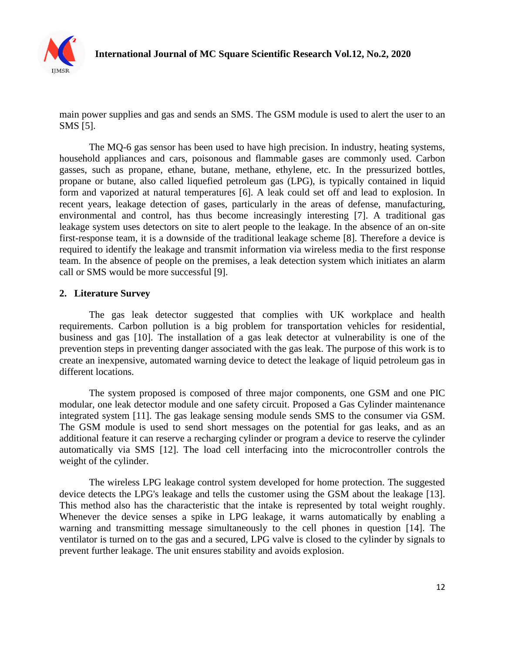

main power supplies and gas and sends an SMS. The GSM module is used to alert the user to an SMS [5].

The MQ-6 gas sensor has been used to have high precision. In industry, heating systems, household appliances and cars, poisonous and flammable gases are commonly used. Carbon gasses, such as propane, ethane, butane, methane, ethylene, etc. In the pressurized bottles, propane or butane, also called liquefied petroleum gas (LPG), is typically contained in liquid form and vaporized at natural temperatures [6]. A leak could set off and lead to explosion. In recent years, leakage detection of gases, particularly in the areas of defense, manufacturing, environmental and control, has thus become increasingly interesting [7]. A traditional gas leakage system uses detectors on site to alert people to the leakage. In the absence of an on-site first-response team, it is a downside of the traditional leakage scheme [8]. Therefore a device is required to identify the leakage and transmit information via wireless media to the first response team. In the absence of people on the premises, a leak detection system which initiates an alarm call or SMS would be more successful [9].

#### **2. Literature Survey**

The gas leak detector suggested that complies with UK workplace and health requirements. Carbon pollution is a big problem for transportation vehicles for residential, business and gas [10]. The installation of a gas leak detector at vulnerability is one of the prevention steps in preventing danger associated with the gas leak. The purpose of this work is to create an inexpensive, automated warning device to detect the leakage of liquid petroleum gas in different locations.

The system proposed is composed of three major components, one GSM and one PIC modular, one leak detector module and one safety circuit. Proposed a Gas Cylinder maintenance integrated system [11]. The gas leakage sensing module sends SMS to the consumer via GSM. The GSM module is used to send short messages on the potential for gas leaks, and as an additional feature it can reserve a recharging cylinder or program a device to reserve the cylinder automatically via SMS [12]. The load cell interfacing into the microcontroller controls the weight of the cylinder.

The wireless LPG leakage control system developed for home protection. The suggested device detects the LPG's leakage and tells the customer using the GSM about the leakage [13]. This method also has the characteristic that the intake is represented by total weight roughly. Whenever the device senses a spike in LPG leakage, it warns automatically by enabling a warning and transmitting message simultaneously to the cell phones in question [14]. The ventilator is turned on to the gas and a secured, LPG valve is closed to the cylinder by signals to prevent further leakage. The unit ensures stability and avoids explosion.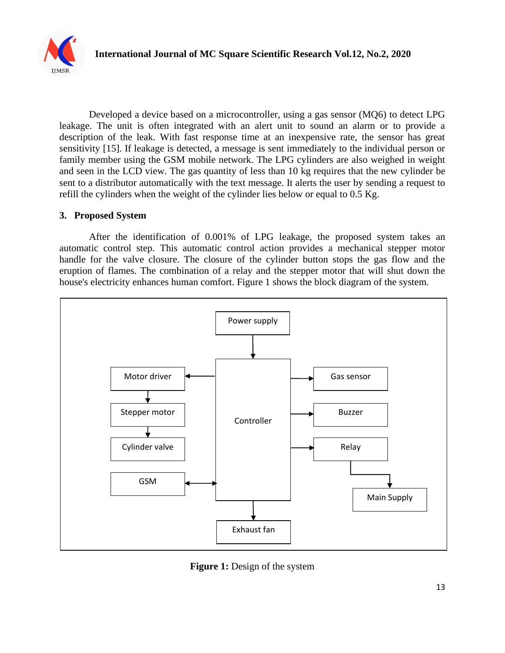

Developed a device based on a microcontroller, using a gas sensor (MQ6) to detect LPG leakage. The unit is often integrated with an alert unit to sound an alarm or to provide a description of the leak. With fast response time at an inexpensive rate, the sensor has great sensitivity [15]. If leakage is detected, a message is sent immediately to the individual person or family member using the GSM mobile network. The LPG cylinders are also weighed in weight and seen in the LCD view. The gas quantity of less than 10 kg requires that the new cylinder be sent to a distributor automatically with the text message. It alerts the user by sending a request to refill the cylinders when the weight of the cylinder lies below or equal to 0.5 Kg.

#### **3. Proposed System**

After the identification of 0.001% of LPG leakage, the proposed system takes an automatic control step. This automatic control action provides a mechanical stepper motor handle for the valve closure. The closure of the cylinder button stops the gas flow and the eruption of flames. The combination of a relay and the stepper motor that will shut down the house's electricity enhances human comfort. Figure 1 shows the block diagram of the system.



**Figure 1:** Design of the system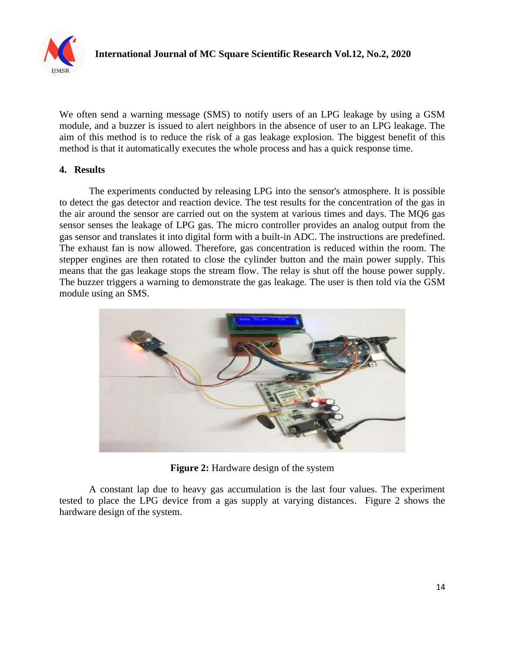

We often send a warning message (SMS) to notify users of an LPG leakage by using a GSM module, and a buzzer is issued to alert neighbors in the absence of user to an LPG leakage. The aim of this method is to reduce the risk of a gas leakage explosion. The biggest benefit of this method is that it automatically executes the whole process and has a quick response time.

# **4. Results**

The experiments conducted by releasing LPG into the sensor's atmosphere. It is possible to detect the gas detector and reaction device. The test results for the concentration of the gas in the air around the sensor are carried out on the system at various times and days. The MQ6 gas sensor senses the leakage of LPG gas. The micro controller provides an analog output from the gas sensor and translates it into digital form with a built-in ADC. The instructions are predefined. The exhaust fan is now allowed. Therefore, gas concentration is reduced within the room. The stepper engines are then rotated to close the cylinder button and the main power supply. This means that the gas leakage stops the stream flow. The relay is shut off the house power supply. The buzzer triggers a warning to demonstrate the gas leakage. The user is then told via the GSM module using an SMS.



**Figure 2:** Hardware design of the system

A constant lap due to heavy gas accumulation is the last four values. The experiment tested to place the LPG device from a gas supply at varying distances. Figure 2 shows the hardware design of the system.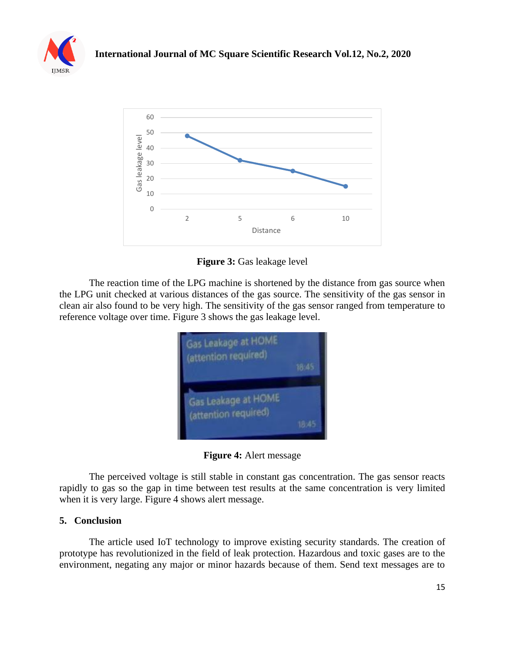



**Figure 3:** Gas leakage level

The reaction time of the LPG machine is shortened by the distance from gas source when the LPG unit checked at various distances of the gas source. The sensitivity of the gas sensor in clean air also found to be very high. The sensitivity of the gas sensor ranged from temperature to reference voltage over time. Figure 3 shows the gas leakage level.



**Figure 4:** Alert message

The perceived voltage is still stable in constant gas concentration. The gas sensor reacts rapidly to gas so the gap in time between test results at the same concentration is very limited when it is very large. Figure 4 shows alert message.

## **5. Conclusion**

The article used IoT technology to improve existing security standards. The creation of prototype has revolutionized in the field of leak protection. Hazardous and toxic gases are to the environment, negating any major or minor hazards because of them. Send text messages are to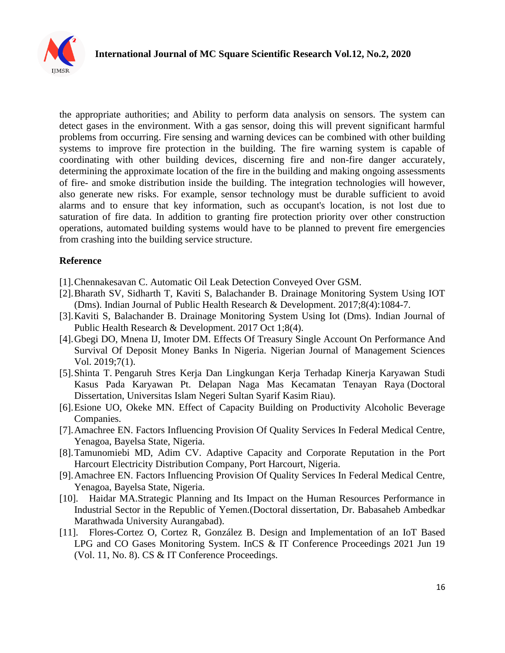

the appropriate authorities; and Ability to perform data analysis on sensors. The system can detect gases in the environment. With a gas sensor, doing this will prevent significant harmful problems from occurring. Fire sensing and warning devices can be combined with other building systems to improve fire protection in the building. The fire warning system is capable of coordinating with other building devices, discerning fire and non-fire danger accurately, determining the approximate location of the fire in the building and making ongoing assessments of fire- and smoke distribution inside the building. The integration technologies will however, also generate new risks. For example, sensor technology must be durable sufficient to avoid alarms and to ensure that key information, such as occupant's location, is not lost due to saturation of fire data. In addition to granting fire protection priority over other construction operations, automated building systems would have to be planned to prevent fire emergencies from crashing into the building service structure.

#### **Reference**

- [1].Chennakesavan C. Automatic Oil Leak Detection Conveyed Over GSM.
- [2].Bharath SV, Sidharth T, Kaviti S, Balachander B. Drainage Monitoring System Using IOT (Dms). Indian Journal of Public Health Research & Development. 2017;8(4):1084-7.
- [3].Kaviti S, Balachander B. Drainage Monitoring System Using Iot (Dms). Indian Journal of Public Health Research & Development. 2017 Oct 1;8(4).
- [4].Gbegi DO, Mnena IJ, Imoter DM. Effects Of Treasury Single Account On Performance And Survival Of Deposit Money Banks In Nigeria. Nigerian Journal of Management Sciences Vol. 2019;7(1).
- [5].Shinta T. Pengaruh Stres Kerja Dan Lingkungan Kerja Terhadap Kinerja Karyawan Studi Kasus Pada Karyawan Pt. Delapan Naga Mas Kecamatan Tenayan Raya (Doctoral Dissertation, Universitas Islam Negeri Sultan Syarif Kasim Riau).
- [6].Esione UO, Okeke MN. Effect of Capacity Building on Productivity Alcoholic Beverage Companies.
- [7].Amachree EN. Factors Influencing Provision Of Quality Services In Federal Medical Centre, Yenagoa, Bayelsa State, Nigeria.
- [8].Tamunomiebi MD, Adim CV. Adaptive Capacity and Corporate Reputation in the Port Harcourt Electricity Distribution Company, Port Harcourt, Nigeria.
- [9].Amachree EN. Factors Influencing Provision Of Quality Services In Federal Medical Centre, Yenagoa, Bayelsa State, Nigeria.
- [10]. Haidar MA.Strategic Planning and Its Impact on the Human Resources Performance in Industrial Sector in the Republic of Yemen*.*(Doctoral dissertation, Dr. Babasaheb Ambedkar Marathwada University Aurangabad).
- [11]. Flores-Cortez O, Cortez R, González B. Design and Implementation of an IoT Based LPG and CO Gases Monitoring System. InCS & IT Conference Proceedings 2021 Jun 19 (Vol. 11, No. 8). CS & IT Conference Proceedings.